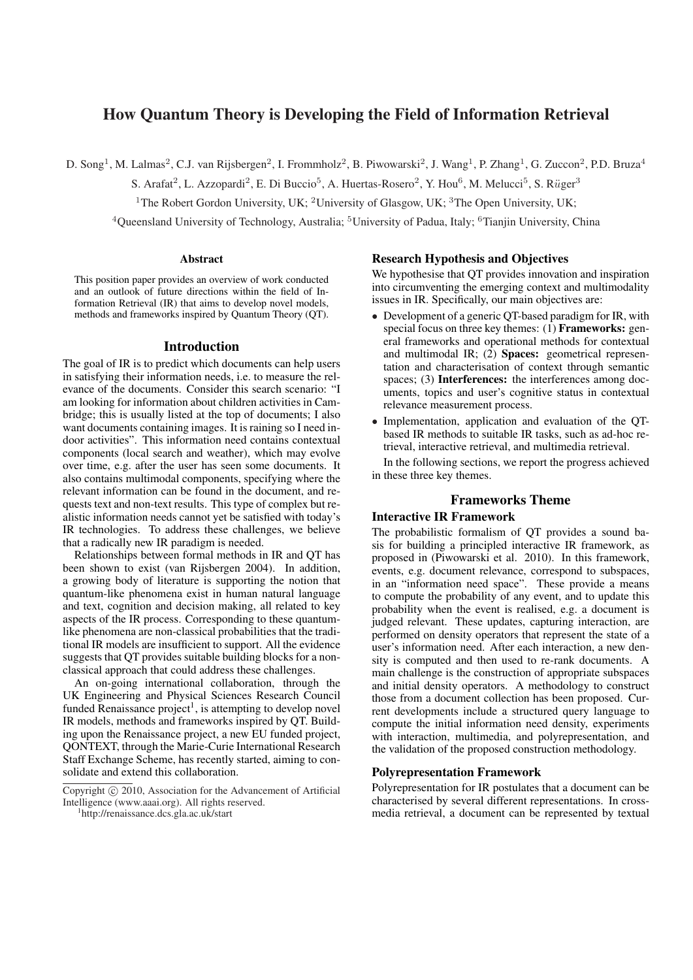# How Quantum Theory is Developing the Field of Information Retrieval

D. Song<sup>1</sup>, M. Lalmas<sup>2</sup>, C.J. van Rijsbergen<sup>2</sup>, I. Frommholz<sup>2</sup>, B. Piwowarski<sup>2</sup>, J. Wang<sup>1</sup>, P. Zhang<sup>1</sup>, G. Zuccon<sup>2</sup>, P.D. Bruza<sup>4</sup>

S. Arafat<sup>2</sup>, L. Azzopardi<sup>2</sup>, E. Di Buccio<sup>5</sup>, A. Huertas-Rosero<sup>2</sup>, Y. Hou<sup>6</sup>, M. Melucci<sup>5</sup>, S. Rüger<sup>3</sup>

<sup>1</sup>The Robert Gordon University, UK; <sup>2</sup>University of Glasgow, UK; <sup>3</sup>The Open University, UK;

<sup>4</sup> Queensland University of Technology, Australia; <sup>5</sup> University of Padua, Italy; <sup>6</sup> Tianjin University, China

#### Abstract

This position paper provides an overview of work conducted and an outlook of future directions within the field of Information Retrieval (IR) that aims to develop novel models, methods and frameworks inspired by Quantum Theory (QT).

### Introduction

The goal of IR is to predict which documents can help users in satisfying their information needs, i.e. to measure the relevance of the documents. Consider this search scenario: "I am looking for information about children activities in Cambridge; this is usually listed at the top of documents; I also want documents containing images. It is raining so I need indoor activities". This information need contains contextual components (local search and weather), which may evolve over time, e.g. after the user has seen some documents. It also contains multimodal components, specifying where the relevant information can be found in the document, and requests text and non-text results. This type of complex but realistic information needs cannot yet be satisfied with today's IR technologies. To address these challenges, we believe that a radically new IR paradigm is needed.

Relationships between formal methods in IR and QT has been shown to exist (van Rijsbergen 2004). In addition, a growing body of literature is supporting the notion that quantum-like phenomena exist in human natural language and text, cognition and decision making, all related to key aspects of the IR process. Corresponding to these quantumlike phenomena are non-classical probabilities that the traditional IR models are insufficient to support. All the evidence suggests that QT provides suitable building blocks for a nonclassical approach that could address these challenges.

An on-going international collaboration, through the UK Engineering and Physical Sciences Research Council funded Renaissance  $project<sup>1</sup>$ , is attempting to develop novel IR models, methods and frameworks inspired by QT. Building upon the Renaissance project, a new EU funded project, QONTEXT, through the Marie-Curie International Research Staff Exchange Scheme, has recently started, aiming to consolidate and extend this collaboration.

### Research Hypothesis and Objectives

We hypothesise that QT provides innovation and inspiration into circumventing the emerging context and multimodality issues in IR. Specifically, our main objectives are:

- Development of a generic QT-based paradigm for IR, with special focus on three key themes: (1) **Frameworks:** general frameworks and operational methods for contextual and multimodal IR;  $(2)$  **Spaces:** geometrical representation and characterisation of context through semantic spaces; (3) Interferences: the interferences among documents, topics and user's cognitive status in contextual relevance measurement process.
- Implementation, application and evaluation of the QTbased IR methods to suitable IR tasks, such as ad-hoc retrieval, interactive retrieval, and multimedia retrieval.

In the following sections, we report the progress achieved in these three key themes.

# Frameworks Theme

# Interactive IR Framework

The probabilistic formalism of QT provides a sound basis for building a principled interactive IR framework, as proposed in (Piwowarski et al. 2010). In this framework, events, e.g. document relevance, correspond to subspaces, in an "information need space". These provide a means to compute the probability of any event, and to update this probability when the event is realised, e.g. a document is judged relevant. These updates, capturing interaction, are performed on density operators that represent the state of a user's information need. After each interaction, a new density is computed and then used to re-rank documents. A main challenge is the construction of appropriate subspaces and initial density operators. A methodology to construct those from a document collection has been proposed. Current developments include a structured query language to compute the initial information need density, experiments with interaction, multimedia, and polyrepresentation, and the validation of the proposed construction methodology.

#### Polyrepresentation Framework

Polyrepresentation for IR postulates that a document can be characterised by several different representations. In crossmedia retrieval, a document can be represented by textual

Copyright (c) 2010, Association for the Advancement of Artificial Intelligence (www.aaai.org). All rights reserved.

<sup>1</sup> http://renaissance.dcs.gla.ac.uk/start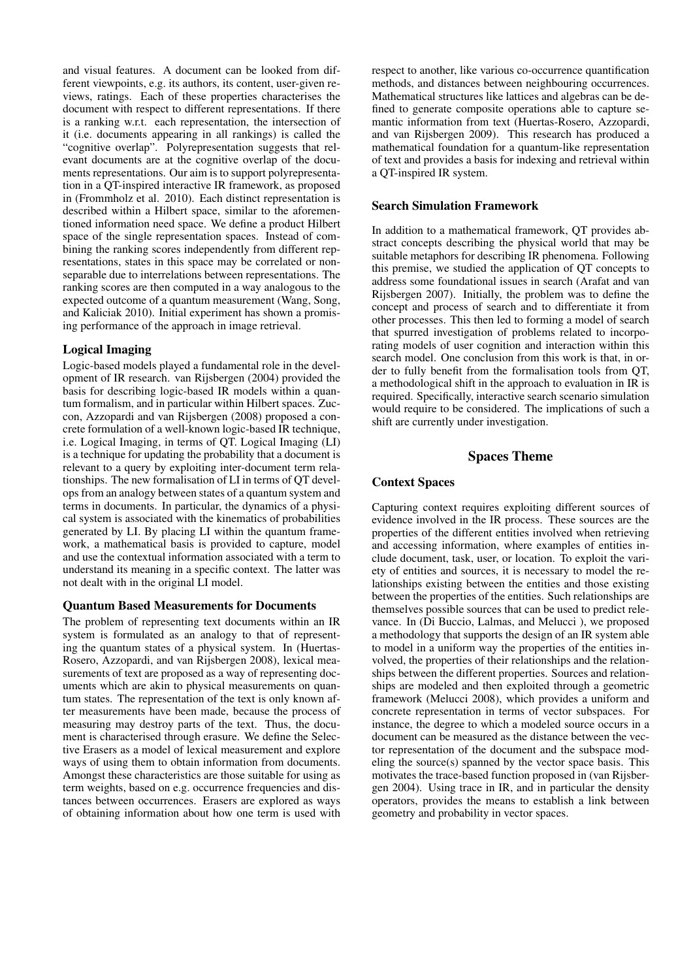and visual features. A document can be looked from different viewpoints, e.g. its authors, its content, user-given reviews, ratings. Each of these properties characterises the document with respect to different representations. If there is a ranking w.r.t. each representation, the intersection of it (i.e. documents appearing in all rankings) is called the "cognitive overlap". Polyrepresentation suggests that relevant documents are at the cognitive overlap of the documents representations. Our aim is to support polyrepresentation in a QT-inspired interactive IR framework, as proposed in (Frommholz et al. 2010). Each distinct representation is described within a Hilbert space, similar to the aforementioned information need space. We define a product Hilbert space of the single representation spaces. Instead of combining the ranking scores independently from different representations, states in this space may be correlated or nonseparable due to interrelations between representations. The ranking scores are then computed in a way analogous to the expected outcome of a quantum measurement (Wang, Song, and Kaliciak 2010). Initial experiment has shown a promising performance of the approach in image retrieval.

# Logical Imaging

Logic-based models played a fundamental role in the development of IR research. van Rijsbergen (2004) provided the basis for describing logic-based IR models within a quantum formalism, and in particular within Hilbert spaces. Zuccon, Azzopardi and van Rijsbergen (2008) proposed a concrete formulation of a well-known logic-based IR technique, i.e. Logical Imaging, in terms of QT. Logical Imaging (LI) is a technique for updating the probability that a document is relevant to a query by exploiting inter-document term relationships. The new formalisation of LI in terms of QT develops from an analogy between states of a quantum system and terms in documents. In particular, the dynamics of a physical system is associated with the kinematics of probabilities generated by LI. By placing LI within the quantum framework, a mathematical basis is provided to capture, model and use the contextual information associated with a term to understand its meaning in a specific context. The latter was not dealt with in the original LI model.

## Quantum Based Measurements for Documents

The problem of representing text documents within an IR system is formulated as an analogy to that of representing the quantum states of a physical system. In (Huertas-Rosero, Azzopardi, and van Rijsbergen 2008), lexical measurements of text are proposed as a way of representing documents which are akin to physical measurements on quantum states. The representation of the text is only known after measurements have been made, because the process of measuring may destroy parts of the text. Thus, the document is characterised through erasure. We define the Selective Erasers as a model of lexical measurement and explore ways of using them to obtain information from documents. Amongst these characteristics are those suitable for using as term weights, based on e.g. occurrence frequencies and distances between occurrences. Erasers are explored as ways of obtaining information about how one term is used with

respect to another, like various co-occurrence quantification methods, and distances between neighbouring occurrences. Mathematical structures like lattices and algebras can be defined to generate composite operations able to capture semantic information from text (Huertas-Rosero, Azzopardi, and van Rijsbergen 2009). This research has produced a mathematical foundation for a quantum-like representation of text and provides a basis for indexing and retrieval within a QT-inspired IR system.

# Search Simulation Framework

In addition to a mathematical framework, QT provides abstract concepts describing the physical world that may be suitable metaphors for describing IR phenomena. Following this premise, we studied the application of QT concepts to address some foundational issues in search (Arafat and van Rijsbergen 2007). Initially, the problem was to define the concept and process of search and to differentiate it from other processes. This then led to forming a model of search that spurred investigation of problems related to incorporating models of user cognition and interaction within this search model. One conclusion from this work is that, in order to fully benefit from the formalisation tools from QT, a methodological shift in the approach to evaluation in IR is required. Specifically, interactive search scenario simulation would require to be considered. The implications of such a shift are currently under investigation.

# Spaces Theme

## Context Spaces

Capturing context requires exploiting different sources of evidence involved in the IR process. These sources are the properties of the different entities involved when retrieving and accessing information, where examples of entities include document, task, user, or location. To exploit the variety of entities and sources, it is necessary to model the relationships existing between the entities and those existing between the properties of the entities. Such relationships are themselves possible sources that can be used to predict relevance. In (Di Buccio, Lalmas, and Melucci ), we proposed a methodology that supports the design of an IR system able to model in a uniform way the properties of the entities involved, the properties of their relationships and the relationships between the different properties. Sources and relationships are modeled and then exploited through a geometric framework (Melucci 2008), which provides a uniform and concrete representation in terms of vector subspaces. For instance, the degree to which a modeled source occurs in a document can be measured as the distance between the vector representation of the document and the subspace modeling the source(s) spanned by the vector space basis. This motivates the trace-based function proposed in (van Rijsbergen 2004). Using trace in IR, and in particular the density operators, provides the means to establish a link between geometry and probability in vector spaces.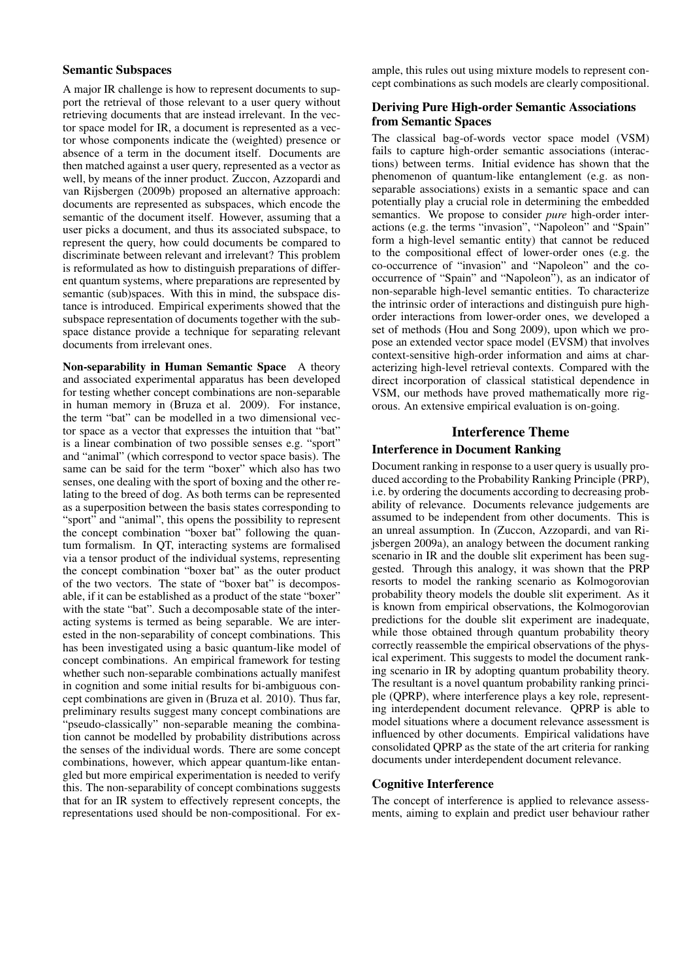### Semantic Subspaces

A major IR challenge is how to represent documents to support the retrieval of those relevant to a user query without retrieving documents that are instead irrelevant. In the vector space model for IR, a document is represented as a vector whose components indicate the (weighted) presence or absence of a term in the document itself. Documents are then matched against a user query, represented as a vector as well, by means of the inner product. Zuccon, Azzopardi and van Rijsbergen (2009b) proposed an alternative approach: documents are represented as subspaces, which encode the semantic of the document itself. However, assuming that a user picks a document, and thus its associated subspace, to represent the query, how could documents be compared to discriminate between relevant and irrelevant? This problem is reformulated as how to distinguish preparations of different quantum systems, where preparations are represented by semantic (sub)spaces. With this in mind, the subspace distance is introduced. Empirical experiments showed that the subspace representation of documents together with the subspace distance provide a technique for separating relevant documents from irrelevant ones.

Non-separability in Human Semantic Space A theory and associated experimental apparatus has been developed for testing whether concept combinations are non-separable in human memory in (Bruza et al. 2009). For instance, the term "bat" can be modelled in a two dimensional vector space as a vector that expresses the intuition that "bat" is a linear combination of two possible senses e.g. "sport" and "animal" (which correspond to vector space basis). The same can be said for the term "boxer" which also has two senses, one dealing with the sport of boxing and the other relating to the breed of dog. As both terms can be represented as a superposition between the basis states corresponding to "sport" and "animal", this opens the possibility to represent the concept combination "boxer bat" following the quantum formalism. In QT, interacting systems are formalised via a tensor product of the individual systems, representing the concept combination "boxer bat" as the outer product of the two vectors. The state of "boxer bat" is decomposable, if it can be established as a product of the state "boxer" with the state "bat". Such a decomposable state of the interacting systems is termed as being separable. We are interested in the non-separability of concept combinations. This has been investigated using a basic quantum-like model of concept combinations. An empirical framework for testing whether such non-separable combinations actually manifest in cognition and some initial results for bi-ambiguous concept combinations are given in (Bruza et al. 2010). Thus far, preliminary results suggest many concept combinations are "pseudo-classically" non-separable meaning the combination cannot be modelled by probability distributions across the senses of the individual words. There are some concept combinations, however, which appear quantum-like entangled but more empirical experimentation is needed to verify this. The non-separability of concept combinations suggests that for an IR system to effectively represent concepts, the representations used should be non-compositional. For example, this rules out using mixture models to represent concept combinations as such models are clearly compositional.

## Deriving Pure High-order Semantic Associations from Semantic Spaces

The classical bag-of-words vector space model (VSM) fails to capture high-order semantic associations (interactions) between terms. Initial evidence has shown that the phenomenon of quantum-like entanglement (e.g. as nonseparable associations) exists in a semantic space and can potentially play a crucial role in determining the embedded semantics. We propose to consider *pure* high-order interactions (e.g. the terms "invasion", "Napoleon" and "Spain" form a high-level semantic entity) that cannot be reduced to the compositional effect of lower-order ones (e.g. the co-occurrence of "invasion" and "Napoleon" and the cooccurrence of "Spain" and "Napoleon"), as an indicator of non-separable high-level semantic entities. To characterize the intrinsic order of interactions and distinguish pure highorder interactions from lower-order ones, we developed a set of methods (Hou and Song 2009), upon which we propose an extended vector space model (EVSM) that involves context-sensitive high-order information and aims at characterizing high-level retrieval contexts. Compared with the direct incorporation of classical statistical dependence in VSM, our methods have proved mathematically more rigorous. An extensive empirical evaluation is on-going.

# Interference Theme

### Interference in Document Ranking

Document ranking in response to a user query is usually produced according to the Probability Ranking Principle (PRP), i.e. by ordering the documents according to decreasing probability of relevance. Documents relevance judgements are assumed to be independent from other documents. This is an unreal assumption. In (Zuccon, Azzopardi, and van Rijsbergen 2009a), an analogy between the document ranking scenario in IR and the double slit experiment has been suggested. Through this analogy, it was shown that the PRP resorts to model the ranking scenario as Kolmogorovian probability theory models the double slit experiment. As it is known from empirical observations, the Kolmogorovian predictions for the double slit experiment are inadequate, while those obtained through quantum probability theory correctly reassemble the empirical observations of the physical experiment. This suggests to model the document ranking scenario in IR by adopting quantum probability theory. The resultant is a novel quantum probability ranking principle (QPRP), where interference plays a key role, representing interdependent document relevance. QPRP is able to model situations where a document relevance assessment is influenced by other documents. Empirical validations have consolidated QPRP as the state of the art criteria for ranking documents under interdependent document relevance.

### Cognitive Interference

The concept of interference is applied to relevance assessments, aiming to explain and predict user behaviour rather